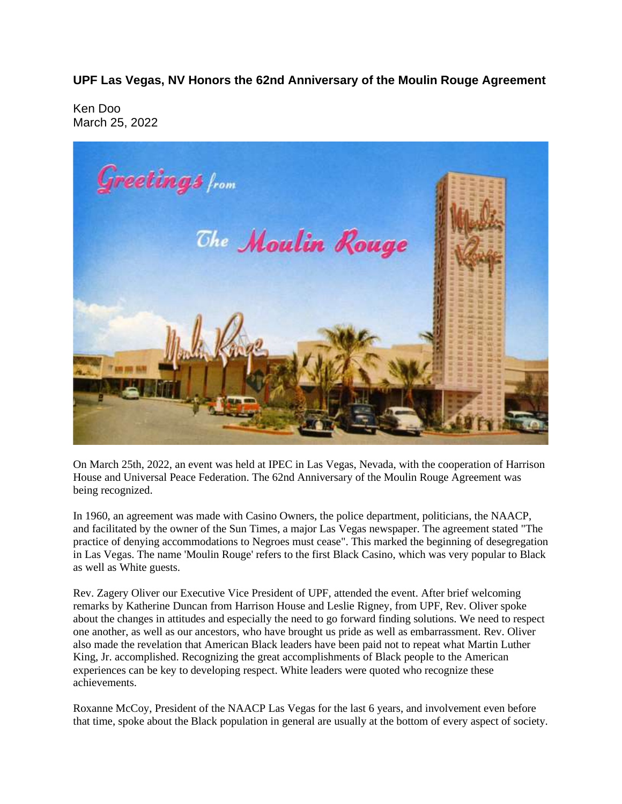**UPF Las Vegas, NV Honors the 62nd Anniversary of the Moulin Rouge Agreement**

Ken Doo March 25, 2022



On March 25th, 2022, an event was held at IPEC in Las Vegas, Nevada, with the cooperation of Harrison House and Universal Peace Federation. The 62nd Anniversary of the Moulin Rouge Agreement was being recognized.

In 1960, an agreement was made with Casino Owners, the police department, politicians, the NAACP, and facilitated by the owner of the Sun Times, a major Las Vegas newspaper. The agreement stated "The practice of denying accommodations to Negroes must cease". This marked the beginning of desegregation in Las Vegas. The name 'Moulin Rouge' refers to the first Black Casino, which was very popular to Black as well as White guests.

Rev. Zagery Oliver our Executive Vice President of UPF, attended the event. After brief welcoming remarks by Katherine Duncan from Harrison House and Leslie Rigney, from UPF, Rev. Oliver spoke about the changes in attitudes and especially the need to go forward finding solutions. We need to respect one another, as well as our ancestors, who have brought us pride as well as embarrassment. Rev. Oliver also made the revelation that American Black leaders have been paid not to repeat what Martin Luther King, Jr. accomplished. Recognizing the great accomplishments of Black people to the American experiences can be key to developing respect. White leaders were quoted who recognize these achievements.

Roxanne McCoy, President of the NAACP Las Vegas for the last 6 years, and involvement even before that time, spoke about the Black population in general are usually at the bottom of every aspect of society.